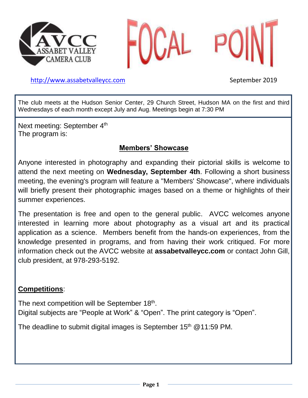



[http://www.assabetvalleyc](http://www.assabetvalley/)c.com September 2019

The club meets at the Hudson Senior Center, 29 Church Street, Hudson MA on the first and third Wednesdays of each month except July and Aug. Meetings begin at 7:30 PM

Next meeting: September 4<sup>th</sup> The program is:

## **Members' Showcase**

Anyone interested in photography and expanding their pictorial skills is welcome to attend the next meeting on **Wednesday, September 4th**. Following a short business meeting, the evening's program will feature a "Members' Showcase", where individuals will briefly present their photographic images based on a theme or highlights of their summer experiences.

The presentation is free and open to the general public. AVCC welcomes anyone interested in learning more about photography as a visual art and its practical application as a science. Members benefit from the hands-on experiences, from the knowledge presented in programs, and from having their work critiqued. For more information check out the AVCC website at **assabetvalleycc.com** or contact John Gill, club president, at 978-293-5192.

## **Competitions**:

The next competition will be September 18<sup>th</sup>. Digital subjects are "People at Work" & "Open". The print category is "Open".

The deadline to submit digital images is September  $15<sup>th</sup>$  @ 11:59 PM.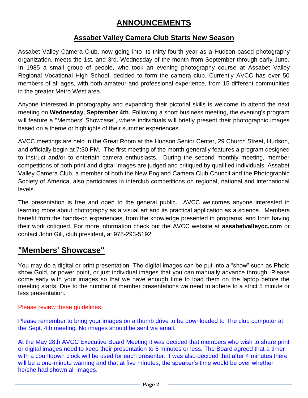## **ANNOUNCEMENTS**

#### **Assabet Valley Camera Club Starts New Season**

Assabet Valley Camera Club, now going into its thirty-fourth year as a Hudson-based photography organization, meets the 1st. and 3rd. Wednesday of the month from September through early June. In 1985 a small group of people, who took an evening photography course at Assabet Valley Regional Vocational High School, decided to form the camera club. Currently AVCC has over 50 members of all ages, with both amateur and professional experience, from 15 different communities in the greater Metro West area.

Anyone interested in photography and expanding their pictorial skills is welcome to attend the next meeting on **Wednesday, September 4th**. Following a short business meeting, the evening's program will feature a "Members' Showcase", where individuals will briefly present their photographic images based on a theme or highlights of their summer experiences.

AVCC meetings are held in the Great Room at the Hudson Senior Center, 29 Church Street, Hudson, and officially begin at 7:30 PM. The first meeting of the month generally features a program designed to instruct and/or to entertain camera enthusiasts. During the second monthly meeting, member competitions of both print and digital images are judged and critiqued by qualified individuals. Assabet Valley Camera Club, a member of both the New England Camera Club Council and the Photographic Society of America, also participates in interclub competitions on regional, national and international levels.

The presentation is free and open to the general public. AVCC welcomes anyone interested in learning more about photography as a visual art and its practical application as a science. Members benefit from the hands-on experiences, from the knowledge presented in programs, and from having their work critiqued. For more information check out the AVCC website at **assabetvalleycc.com** or contact John Gill, club president, at 978-293-5192.

## **"Members' Showcase"**

You may do a digital or print presentation. The digital images can be put into a "show" such as Photo show Gold, or power point, or just individual images that you can manually advance through. Please come early with your images so that we have enough time to load them on the laptop before the meeting starts. Due to the number of member presentations we need to adhere to a strict 5 minute or less presentation.

Please review these guidelines.

Please remember to bring your images on a thumb drive to be downloaded to The club computer at the Sept. 4th meeting. No images should be sent via email.

At the May 28th AVCC Executive Board Meeting it was decided that members who wish to share print or digital images need to keep their presentation to 5 minutes or less. The Board agreed that a timer with a countdown clock will be used for each presenter. It was also decided that after 4 minutes there will be a one-minute warning and that at five minutes, the speaker's time would be over whether he/she had shown all images.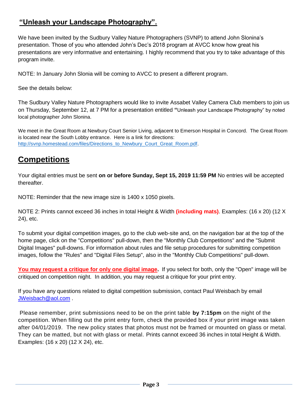## **"Unleash your Landscape Photography".**

We have been invited by the Sudbury Valley Nature Photographers (SVNP) to attend John Slonina's presentation. Those of you who attended John's Dec's 2018 program at AVCC know how great his presentations are very informative and entertaining. I highly recommend that you try to take advantage of this program invite.

NOTE: In January John Slonia will be coming to AVCC to present a different program.

See the details below:

The Sudbury Valley Nature Photographers would like to invite Assabet Valley Camera Club members to join us on Thursday, September 12, at 7 PM for a presentation entitled **"**Unleash your Landscape Photography" by noted local photographer John Slonina.

We meet in the Great Room at Newbury Court Senior Living, adjacent to Emerson Hospital in Concord. The Great Room is located near the South Lobby entrance. Here is a link for directions: [http://svnp.homestead.com/files/Directions\\_to\\_Newbury\\_Court\\_Great\\_Room.pdf.](http://svnp.homestead.com/files/Directions_to_Newbury_Court_Great_Room.pdf)

## **Competitions**

Your digital entries must be sent **on or before Sunday, Sept 15, 2019 11:59 PM** No entries will be accepted thereafter.

NOTE: Reminder that the new image size is 1400 x 1050 pixels.

NOTE 2: Prints cannot exceed 36 inches in total Height & Width **(including mats)**. Examples: (16 x 20) (12 X 24), etc.

To submit your digital competition images, go to the club web-site and, on the navigation bar at the top of the home page, click on the "Competitions" pull-down, then the "Monthly Club Competitions" and the "Submit Digital Images" pull-downs. For information about rules and file setup procedures for submitting competition images, follow the "Rules" and "Digital Files Setup", also in the "Monthly Club Competitions" pull-down.

**You may request a critique for only one digital image.** If you select for both, only the "Open" image will be critiqued on competition night. In addition, you may request a critique for your print entry.

If you have any questions related to digital competition submission, contact Paul Weisbach by email [JWeisbach@aol.com](mailto:JWeisbach@aol.com) .

Please remember, print submissions need to be on the print table **by 7:15pm** on the night of the competition. When filling out the print entry form, check the provided box if your print image was taken after 04/01/2019. The new policy states that photos must not be framed or mounted on glass or metal. They can be matted, but not with glass or metal. Prints cannot exceed 36 inches in total Height & Width. Examples: (16 x 20) (12 X 24), etc.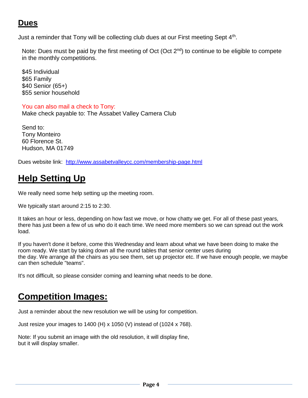## **Dues**

Just a reminder that Tony will be collecting club dues at our First meeting Sept 4<sup>th</sup>.

Note: Dues must be paid by the first meeting of Oct (Oct 2<sup>nd</sup>) to continue to be eligible to compete in the monthly competitions.

\$45 Individual \$65 Family \$40 Senior (65+) \$55 senior household

#### You can also mail a check to Tony:

Make check payable to: The Assabet Valley Camera Club

Send to: Tony Monteiro 60 Florence St. Hudson, MA 01749

Dues website link: <http://www.assabetvalleycc.com/membership-page.html>

# **Help Setting Up**

We really need some help setting up the meeting room.

We typically start around 2:15 to 2:30.

It takes an hour or less, depending on how fast we move, or how chatty we get. For all of these past years, there has just been a few of us who do it each time. We need more members so we can spread out the work load.

If you haven't done it before, come this Wednesday and learn about what we have been doing to make the room ready. We start by taking down all the round tables that senior center uses during the day. We arrange all the chairs as you see them, set up projector etc. If we have enough people, we maybe can then schedule "teams".

It's not difficult, so please consider coming and learning what needs to be done.

## **Competition Images:**

Just a reminder about the new resolution we will be using for competition.

Just resize your images to 1400 (H) x 1050 (V) instead of (1024 x 768).

Note: If you submit an image with the old resolution, it will display fine, but it will display smaller.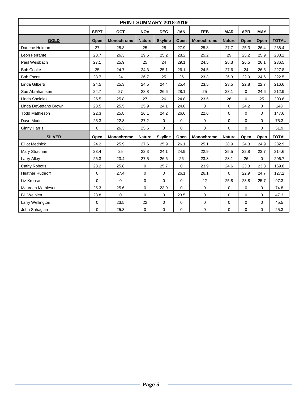| PRINT SUMMARY 2018-2019 |             |                   |               |                |             |                   |               |             |             |              |  |  |  |
|-------------------------|-------------|-------------------|---------------|----------------|-------------|-------------------|---------------|-------------|-------------|--------------|--|--|--|
|                         | <b>SEPT</b> | <b>OCT</b>        | <b>NOV</b>    | <b>DEC</b>     | <b>JAN</b>  | <b>FEB</b>        | <b>MAR</b>    | <b>APR</b>  | <b>MAY</b>  |              |  |  |  |
| <b>GOLD</b>             | Open        | <b>Monochrome</b> | <b>Nature</b> | <b>Skyline</b> | Open        | <b>Monochrome</b> | <b>Nature</b> | Open        | Open        | <b>TOTAL</b> |  |  |  |
| Darlene Holman          | 27          | 25.3              | 25            | 28             | 27.9        | 25.8              | 27.7          | 25.3        | 26.4        | 238.4        |  |  |  |
| Leon Ferrante           | 23.7        | 26.3              | 29.5          | 25.2           | 28.2        | 25.2              | 29            | 25.2        | 25.9        | 238.2        |  |  |  |
| Paul Weisbach           | 27.1        | 25.9              | 25            | 24             | 29.1        | 24.5              | 28.3          | 26.5        | 26.1        | 236.5        |  |  |  |
| <b>Bob Cooke</b>        | 25          | 24.7              | 24.3          | 25.1           | 26.1        | 24.5              | 27.6          | 24          | 26.5        | 227.8        |  |  |  |
| <b>Bob Escott</b>       | 23.7        | 24                | 26.7          | 25             | 26          | 23.3              | 26.3          | 22.9        | 24.6        | 222.5        |  |  |  |
| Linda Gilberti          | 24.5        | 25.3              | 24.5          | 24.4           | 25.4        | 23.5              | 23.5          | 22.8        | 22.7        | 216.6        |  |  |  |
| Sue Abrahamsen          | 24.7        | 27                | 28.8          | 26.6           | 28.1        | 25                | 28.1          | $\mathbf 0$ | 24.6        | 212.9        |  |  |  |
| Linda Shelales          | 25.5        | 25.8              | 27            | 26             | 24.8        | 23.5              | 26            | 0           | 25          | 203.6        |  |  |  |
| Linda DeStefano Brown   | 23.5        | 25.5              |               | 24.1           | 24.8        | $\mathbf 0$       | 24.2<br>0     |             | $\Omega$    | 148          |  |  |  |
| <b>Todd Mathieson</b>   | 22.3        | 25.8              | 26.1          | 24.2           | 26.6        | 22.6              | $\mathbf 0$   | $\mathbf 0$ | $\mathbf 0$ | 147.6        |  |  |  |
| Dave Morin              | 25.3        | 22.8              | 27.2          | 0              | $\mathbf 0$ | 0                 | 0             | 0           | 0           | 75.3         |  |  |  |
| <b>Ginny Harris</b>     | 0           | 26.3              | 25.6          | 0              | $\mathbf 0$ | $\mathbf 0$       | 0             | $\Omega$    | 0           | 51.9         |  |  |  |
| <b>SILVER</b>           | Open        | <b>Monochrome</b> | <b>Nature</b> | <b>Skyline</b> | Open        | Monochrome        | <b>Nature</b> | Open        | Open        | <b>TOTAL</b> |  |  |  |
| <b>Elliot Mednick</b>   | 24.2        | 25.9              | 27.6          | 25.9           | 26.1        | 25.1              | 28.9          | 24.3        | 24.9        | 232.9        |  |  |  |
| Mary Strachan           | 23.4        | 25                | 22.3          | 24.1           | 24.9        | 22.9              | 25.5          | 22.8        | 23.7        | 214.6        |  |  |  |
| Larry Alley             | 25.3        | 23.4              | 27.5          | 26.6           | 26          | 23.8              | 28.1          | 26          | 0           | 206.7        |  |  |  |
| Cathy Robotis           | 23.2        | 25.8              | $\mathbf 0$   | 25.7           | $\Omega$    | 23.9              | 24.6          | 23.3        | 23.3        | 169.8        |  |  |  |
| <b>Heather Ruthroff</b> | 0           | 27.4              | $\mathbf 0$   | 0              | 26.1        | 26.1              | 0             | 22.9        | 24.7        | 127.2        |  |  |  |
| Liz Krouse              | $\mathbf 0$ | $\mathbf 0$       | $\mathbf 0$   | $\mathbf 0$    | $\mathbf 0$ | 22                | 25.8          | 23.8        | 25.7        | 97.3         |  |  |  |
| Maureen Mathieson       | 25.3        | 25.6              | $\mathbf 0$   | 23.9           | $\mathbf 0$ | $\mathbf 0$       | 0             | $\mathbf 0$ | 0           | 74.8         |  |  |  |
| <b>Bill Weiblen</b>     | 23.8        | $\mathbf 0$       | $\mathbf 0$   | $\mathbf 0$    | 23.5        | $\mathbf 0$       | 0             | $\mathbf 0$ | $\Omega$    | 47.3         |  |  |  |
| Larry Wellington        | 0           | 23.5              | 22            | 0              | 0           | 0                 | 0             | $\mathbf 0$ | 0           | 45.5         |  |  |  |
| John Sahagian           | $\mathbf 0$ | 25.3              | 0             | 0              | 0           | $\mathbf 0$       | 0             | 0           | 0           | 25.3         |  |  |  |